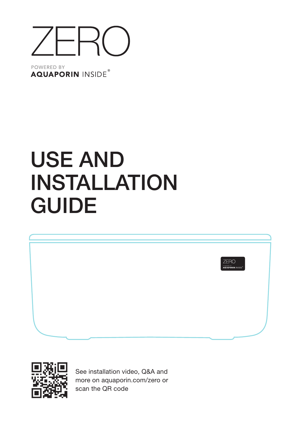

POWERED BY **AQUAPORIN INSIDE®** 

# USE AND INSTALLATION GUIDE





See installation video, Q&A and more o[n aquaporin.com/zero](http://aquaporin.com/zero) or scan the QR code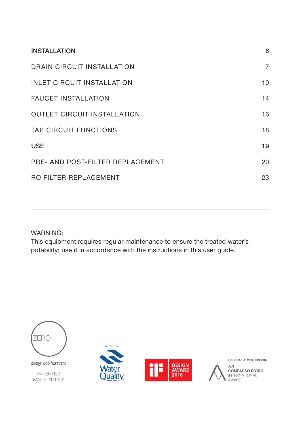| <b>INSTALLATION</b>                | 6              |
|------------------------------------|----------------|
| DRAIN CIRCUIT INSTALLATION         | $\overline{7}$ |
| <b>INLET CIRCUIT INSTALLATION</b>  | 10             |
| <b>FAUCET INSTALLATION</b>         | 14             |
| <b>OUTLET CIRCUIT INSTALLATION</b> | 16             |
| <b>TAP CIRCUIT FUNCTIONS</b>       | 18             |
| <b>USE</b>                         | 19             |
| PRE- AND POST-FILTER REPLACEMENT   | 20             |
| RO FILTER REPLACEMENT              | 23             |

### WARNING:

This equipment requires regular maintenance to ensure the treated water's potability; use it in accordance with the instructions in this user guide.



design odo fioravanti

**PATENTED MADE IN ITALY** 





HONORABLE MENTION 2015

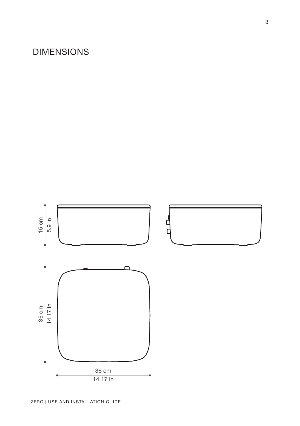## DIMENSIONS

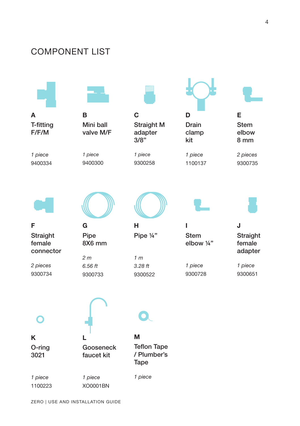### COMPONENT LIST

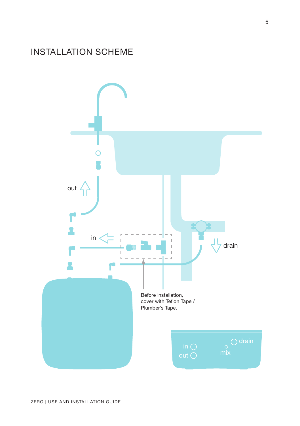### INSTALLATION SCHEME

![](_page_4_Figure_1.jpeg)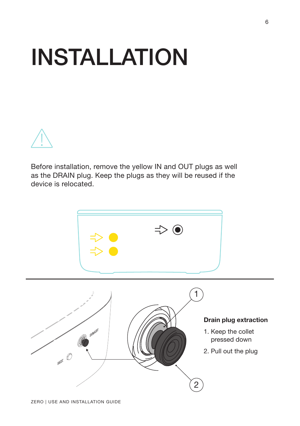# <span id="page-5-0"></span>INSTALLATION

![](_page_5_Figure_1.jpeg)

Before installation, remove the yellow IN and OUT plugs as well as the DRAIN plug. Keep the plugs as they will be reused if the device is relocated.

![](_page_5_Figure_3.jpeg)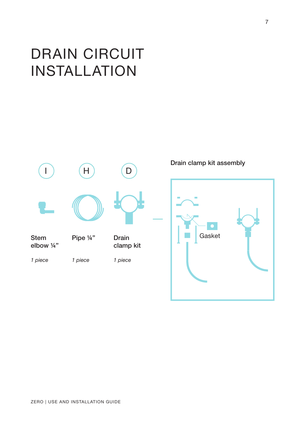# <span id="page-6-0"></span>DRAIN CIRCUIT INSTALLATION

![](_page_6_Figure_1.jpeg)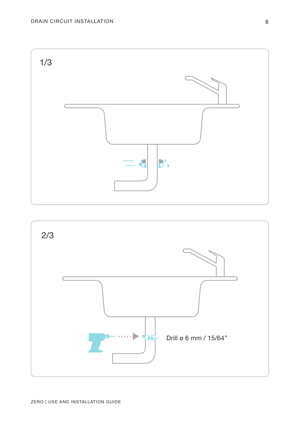![](_page_7_Figure_1.jpeg)

![](_page_7_Figure_2.jpeg)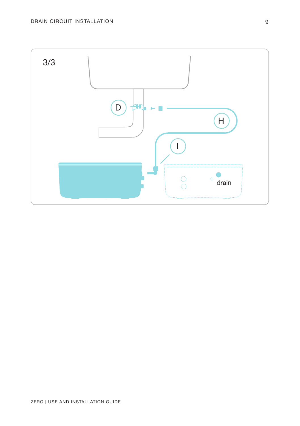![](_page_8_Figure_1.jpeg)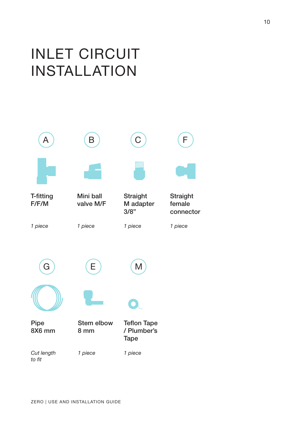# <span id="page-9-0"></span>INLET CIRCUIT INSTALLATION

![](_page_9_Figure_1.jpeg)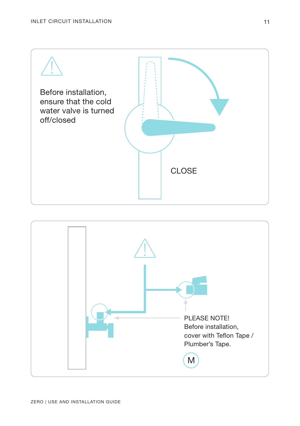![](_page_10_Picture_1.jpeg)

![](_page_10_Figure_2.jpeg)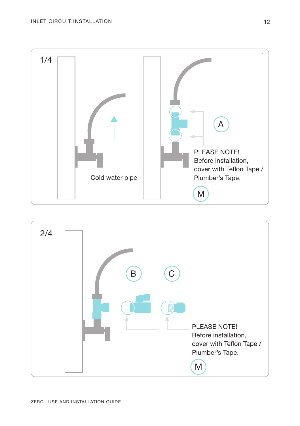![](_page_11_Figure_1.jpeg)

![](_page_11_Figure_2.jpeg)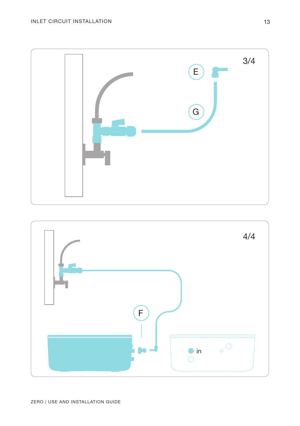![](_page_12_Figure_1.jpeg)

![](_page_12_Figure_2.jpeg)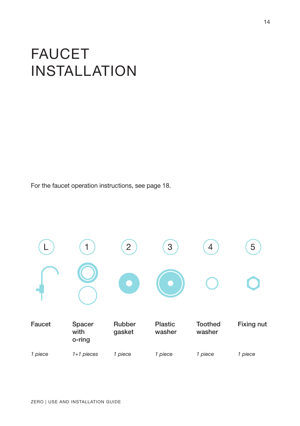# <span id="page-13-0"></span>FAUCET INSTALLATION

For the faucet operation instructions, see page 18.

![](_page_13_Figure_2.jpeg)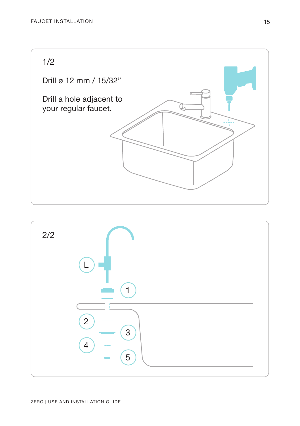![](_page_14_Picture_1.jpeg)

![](_page_14_Figure_2.jpeg)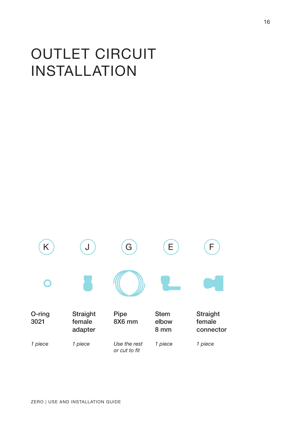# <span id="page-15-0"></span>OUTLET CIRCUIT INSTALLATION

![](_page_15_Figure_1.jpeg)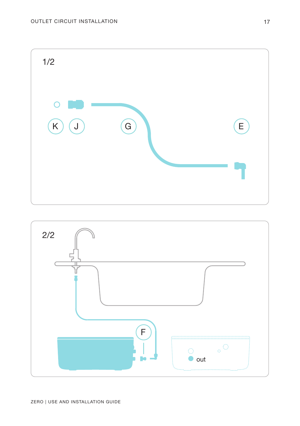![](_page_16_Picture_1.jpeg)

![](_page_16_Figure_2.jpeg)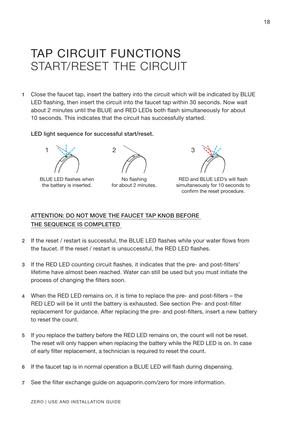## <span id="page-17-0"></span>TAP CIRCUIT FUNCTIONS START/RESET THE CIRCUIT

1 Close the faucet tap, insert the battery into the circuit which will be indicated by BLUE LED flashing, then insert the circuit into the faucet tap within 30 seconds. Now wait about 2 minutes until the BLUE and RED LEDs both flash simultaneously for about 10 seconds. This indicates that the circuit has successfully started.

#### LED light sequence for successful start/reset.

![](_page_17_Picture_3.jpeg)

BLUE LED flashes when the battery is inserted.

No flashing for about 2 minutes.

![](_page_17_Picture_6.jpeg)

RED and BLUE LED's will flash simultaneously for 10 seconds to confirm the reset procedure.

#### ATTENTION: DO NOT MOVE THE FAUCET TAP KNOB BEFORE THE SEQUENCE IS COMPLETED

- 2 If the reset / restart is successful, the BLUE LED flashes while your water flows from the faucet. If the reset / restart is unsuccessful, the RED LED flashes.
- If the RED LED counting circuit flashes, it indicates that the pre- and post-filters' 3 lifetime have almost been reached. Water can still be used but you must initiate the process of changing the filters soon.
- When the RED LED remains on, it is time to replace the pre- and post-filters the RED LED will be lit until the battery is exhausted. See section Pre- and post-filter replacement for guidance. After replacing the pre- and post-filters, insert a new battery to reset the count. 4
- 5 If you replace the battery before the RED LED remains on, the count will not be reset. The reset will only happen when replacing the battery while the RED LED is on. In case of early filter replacement, a technician is required to reset the count.
- 6 If the faucet tap is in normal operation a BLUE LED will flash during dispensing.
- 7 See the filter exchange guide on [aquaporin.com/zero](http://aquaporin.com/zero) for more information.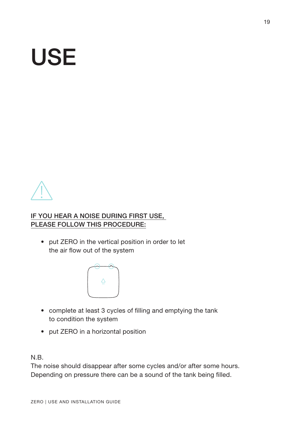# <span id="page-18-0"></span>USE

![](_page_18_Picture_1.jpeg)

#### IF YOU HEAR A NOISE DURING FIRST USE, PLEASE FOLLOW THIS PROCEDURE:

• put ZERO in the vertical position in order to let the air flow out of the system

![](_page_18_Picture_4.jpeg)

- complete at least 3 cycles of filling and emptying the tank to condition the system
- put ZERO in a horizontal position

N.B.

The noise should disappear after some cycles and/or after some hours. Depending on pressure there can be a sound of the tank being filled.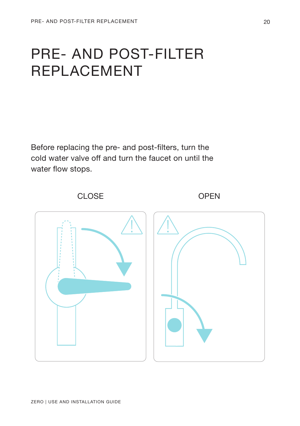## <span id="page-19-0"></span>PRE- AND POST-FILTER REPLACEMENT

Before replacing the pre- and post-filters, turn the cold water valve off and turn the faucet on until the water flow stops.

![](_page_19_Figure_3.jpeg)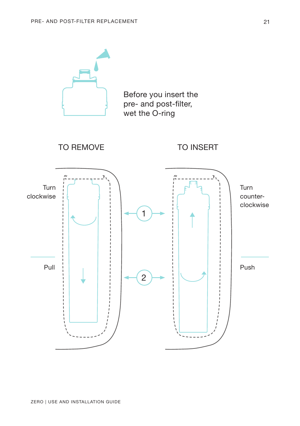![](_page_20_Figure_1.jpeg)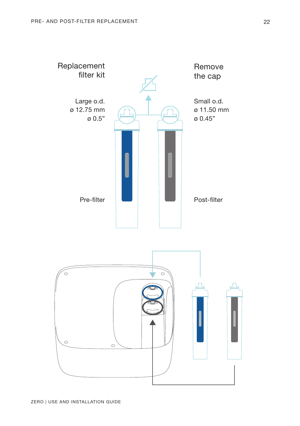![](_page_21_Figure_1.jpeg)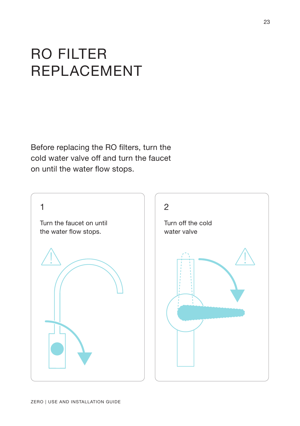# <span id="page-22-0"></span>RO FILTER REPLACEMENT

Before replacing the RO filters, turn the cold water valve off and turn the faucet on until the water flow stops.

![](_page_22_Picture_2.jpeg)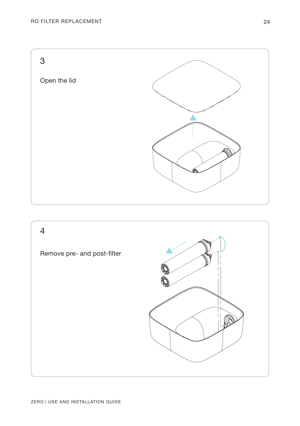![](_page_23_Figure_1.jpeg)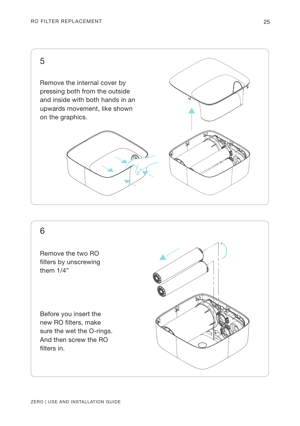5

Remove the internal cover by pressing both from the outside and inside with both hands in an upwards movement, like shown on the graphics.

![](_page_24_Picture_3.jpeg)

![](_page_24_Picture_4.jpeg)

### 6

Remove the two RO filters by unscrewing them 1/4"

Before you insert the new RO filters, make sure the wet the O-rings. And then screw the RO filters in.

![](_page_24_Picture_8.jpeg)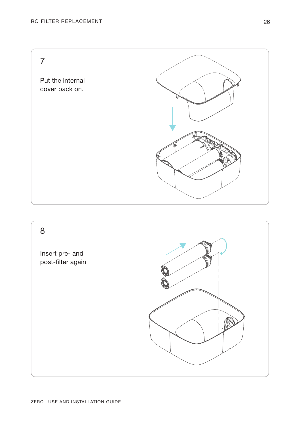7

Put the internal cover back on.

![](_page_25_Picture_3.jpeg)

![](_page_25_Figure_4.jpeg)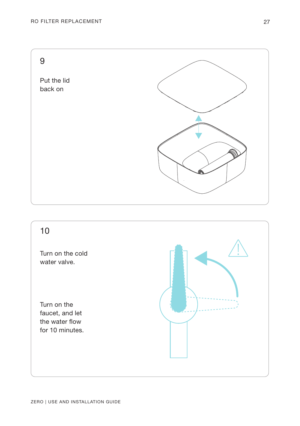![](_page_26_Figure_1.jpeg)